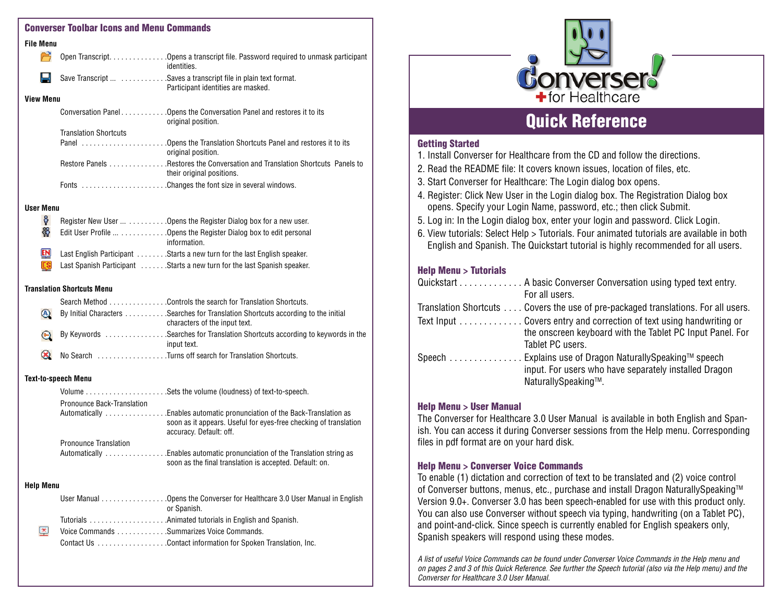### Converser Toolbar Icons and Menu Commands **File Menu**  Open Transcript . . . . . . . . . . . . . . Opens a transcript file. Password required to unmask participant identities. Save Transcript ... . . . . . . . . . . . . . Saves a transcript file in plain text format. Participant identities are masked. **View Menu**  Conversation Panel . . . . . . . . . . . Opens the Conversation Panel and restores it to its original position. Translation Shortcuts Panel . . . . . . . . . . . . . . . . . . . . . Opens the Translation Shortcuts Panel and restores it to its original position. Restore Panels . . . . . . . . . . . . . . . Restores the Conversation and Translation Shortcuts Panels to their original positions. Fonts . . . . . . . . . . . . . . . . . . . . . Changes the font size in several windows. **User Menu**   $\beta$  Register New User  $\dots \dots \dots$  . . . . . . . . . Opens the Register Dialog box for a new user.  $\mathbb{R}$  Edit User Profile  $\dots$  . . . . . . . . . . . Opens the Register Dialog box to edit personal information. Last English Participant . . . . . . . . . Starts a new turn for the last English speaker. **ES** Last Spanish Participant .......Starts a new turn for the last Spanish speaker. **Translation Shortcuts Menu**  Search Method . . . . . . . . . . . . . . . Controls the search for Translation Shortcuts. By Initial Characters . . . . . . . . . . . . Searches for Translation Shortcuts according to the initial characters of the input text. By Keywords . . . . . . . . . . . . . . . Searches for Translation Shortcuts according to keywords in the input text. No Search . . . . . . . . . . . . . . . . . Turns off search for Translation Shortcuts. **Text-to-speech Menu**  Volume . . . . . . . . . . . . . . . . . . . . Sets the volume (loudness) of text-to-speech. Pronounce Back-Translation Automatically . . . . . . . . . . . . . . . Enables automatic pronunciation of the Back-Translation as soon as it appears. Useful for eyes-free checking of translation accuracy. Default: off. Pronounce Translation Automatically . . . . . . . . . . . . . . . Enables automatic pronunciation of the Translation string as soon as the final translation is accepted. Default: on. **Help Menu**  User Manual . . . . . . . . . . . . . . . . . . Opens the Converser for Healthcare 3.0 User Manual in English or Spanish. Tutorials . . . . . . . . . . . . . . . . . . . Animated tutorials in English and Spanish. **EXECUTE:** Voice Commands . . . . . . . . . . . . . . Summarizes Voice Commands. Contact Us  $\ldots$  . . . . . . . . . . . . . . . . Contact information for Spoken Translation, Inc.



# Quick Reference

#### Getting Started

|  |  |  |  | 1. Install Converser for Healthcare from the CD and follow the directions. |  |  |  |  |  |  |  |  |
|--|--|--|--|----------------------------------------------------------------------------|--|--|--|--|--|--|--|--|
|--|--|--|--|----------------------------------------------------------------------------|--|--|--|--|--|--|--|--|

- 2. Read the README file: It covers known issues, location of files, etc.
- 3. Start Converser for Healthcare: The Login dialog box opens.
- 4. Register: Click New User in the Login dialog box. The Registration Dialog box opens. Specify your Login Name, password, etc.; then click Submit.
- 5. Log in: In the Login dialog box, enter your login and password. Click Login.
- 6. View tutorials: Select Help > Tutorials. Four animated tutorials are available in both English and Spanish. The Quickstart tutorial is highly recommended for all users.

#### Help Menu > Tutorials

| Quickstart A basic Converser Conversation using typed text entry.<br>For all users.                                                                  |
|------------------------------------------------------------------------------------------------------------------------------------------------------|
| Translation Shortcuts Covers the use of pre-packaged translations. For all users.                                                                    |
| Text Input Covers entry and correction of text using handwriting or<br>the onscreen keyboard with the Tablet PC Input Panel. For<br>Tablet PC users. |
| Speech Explains use of Dragon NaturallySpeaking™ speech<br>input. For users who have separately installed Dragon<br>NaturallySpeaking™.              |

#### Help Menu > User Manual

The Converser for Healthcare 3.0 User Manual is available in both English and Spanish. You can access it during Converser sessions from the Help menu. Corresponding files in pdf format are on your hard disk.

#### Help Menu > Converser Voice Commands

To enable (1) dictation and correction of text to be translated and (2) voice control of Converser buttons, menus, etc., purchase and install Dragon NaturallySpeaking™ Version 9.0+. Converser 3.0 has been speech-enabled for use with this product only. You can also use Converser without speech via typing, handwriting (on a Tablet PC), and point-and-click. Since speech is currently enabled for English speakers only, Spanish speakers will respond using these modes.

*A list of useful Voice Commands can be found under Converser Voice Commands in the Help menu and on pages 2 and 3 of this Quick Reference. See further the Speech tutorial (also via the Help menu) and the Converser for Healthcare 3.0 User Manual.*